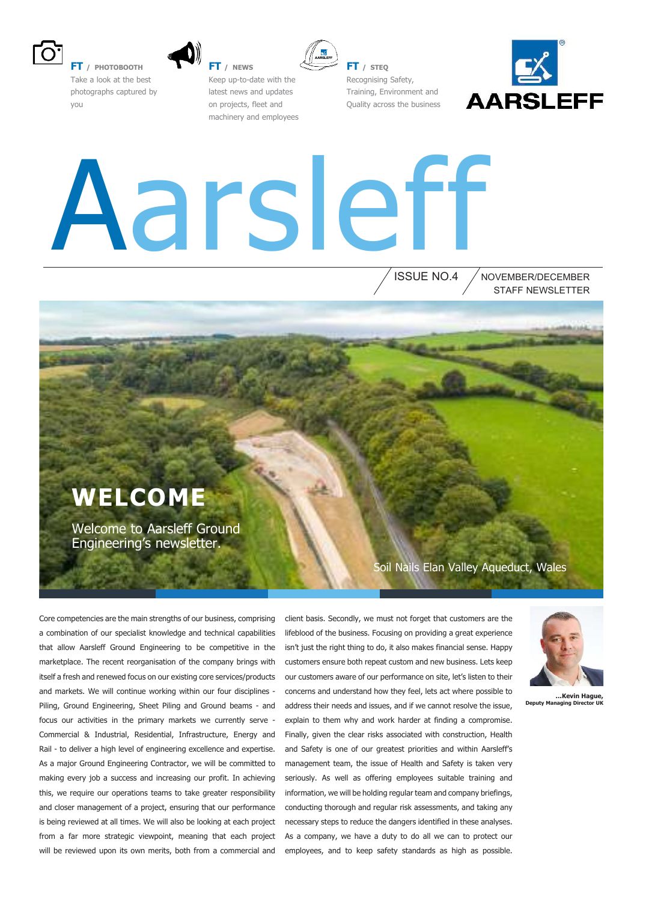

**FT / PHOTOBOOTH** Take a look at the best photographs captured by

you

**FT / NEWS**



Keep up-to-date with the latest news and updates on projects, fleet and machinery and employees

**FT / STEQ** Recognising Safety, Training, Environment and Quality across the business



# Aarsleff

ISSUE NO.4 STAFF NEWSLETTER NOVEMBER/DECEMBER

### **WELCOME**

Welcome to Aarsleff Ground Engineering's newsletter.

Soil Nails Elan Valley Aqueduct, Wales

Core competencies are the main strengths of our business, comprising a combination of our specialist knowledge and technical capabilities that allow Aarsleff Ground Engineering to be competitive in the marketplace. The recent reorganisation of the company brings with itself a fresh and renewed focus on our existing core services/products and markets. We will continue working within our four disciplines - Piling, Ground Engineering, Sheet Piling and Ground beams - and focus our activities in the primary markets we currently serve - Commercial & Industrial, Residential, Infrastructure, Energy and Rail - to deliver a high level of engineering excellence and expertise. As a major Ground Engineering Contractor, we will be committed to making every job a success and increasing our profit. In achieving this, we require our operations teams to take greater responsibility and closer management of a project, ensuring that our performance is being reviewed at all times. We will also be looking at each project from a far more strategic viewpoint, meaning that each project will be reviewed upon its own merits, both from a commercial and

client basis. Secondly, we must not forget that customers are the lifeblood of the business. Focusing on providing a great experience isn't just the right thing to do, it also makes financial sense. Happy customers ensure both repeat custom and new business. Lets keep our customers aware of our performance on site, let's listen to their concerns and understand how they feel, lets act where possible to address their needs and issues, and if we cannot resolve the issue, explain to them why and work harder at finding a compromise. Finally, given the clear risks associated with construction, Health and Safety is one of our greatest priorities and within Aarsleff's management team, the issue of Health and Safety is taken very seriously. As well as offering employees suitable training and information, we will be holding regular team and company briefings, conducting thorough and regular risk assessments, and taking any necessary steps to reduce the dangers identified in these analyses. As a company, we have a duty to do all we can to protect our employees, and to keep safety standards as high as possible.



**…Kevin Hague, Deputy Manag**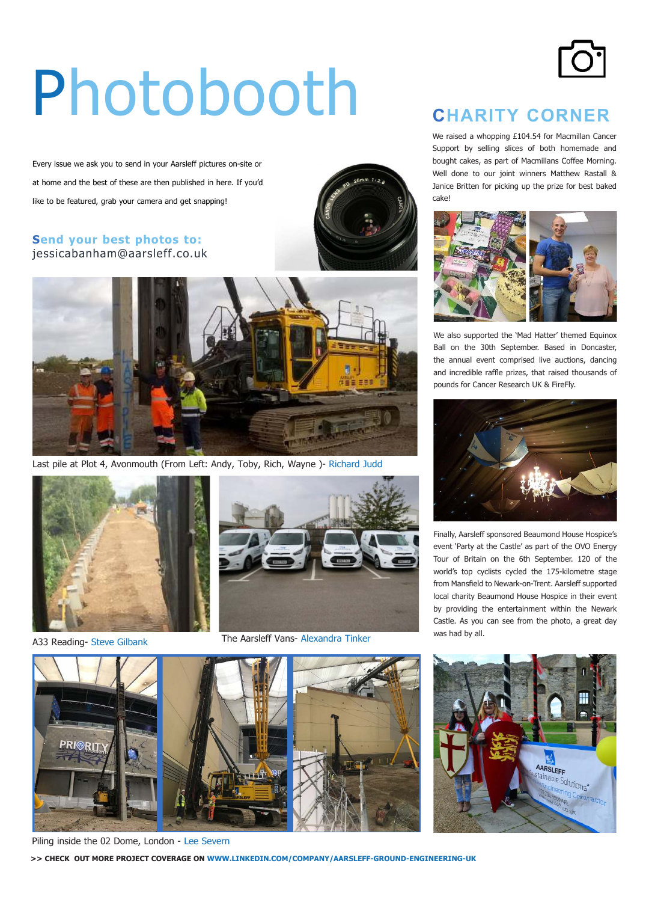# Photobooth

Every issue we ask you to send in your Aarsleff pictures on-site or at home and the best of these are then published in here. If you'd like to be featured, grab your camera and get snapping!

#### **Send your best photos to:** jessicabanham@aarsleff.co.uk





Last pile at Plot 4, Avonmouth (From Left: Andy, Toby, Rich, Wayne )- Richard Judd





A33 Reading- Steve Gilbank The Aarsleff Vans- Alexandra Tinker



We raised a whopping £104.54 for Macmillan Cancer Support by selling slices of both homemade and bought cakes, as part of Macmillans Coffee Morning. Well done to our joint winners Matthew Rastall & Janice Britten for picking up the prize for best baked cake!



We also supported the 'Mad Hatter' themed Equinox Ball on the 30th September. Based in Doncaster, the annual event comprised live auctions, dancing and incredible rafle prizes, that raised thousands of pounds for Cancer Research UK & FireFly.



Finally, Aarsleff sponsored Beaumond House Hospice's event 'Party at the Castle' as part of the OVO Energy Tour of Britain on the 6th September. 120 of the world's top cyclists cycled the 175-kilometre stage from Mansfield to Newark-on-Trent. Aarsleff supported local charity Beaumond House Hospice in their event by providing the entertainment within the Newark Castle. As you can see from the photo, a great day was had by all.







Piling inside the 02 Dome, London - Lee Severn

**>> CHECK OUT MORE PROJECT COVERAGE ON WWW.LINKEDIN.COM/COMPANY/AARSLEFF-GROUND-ENGINEERING-UK**

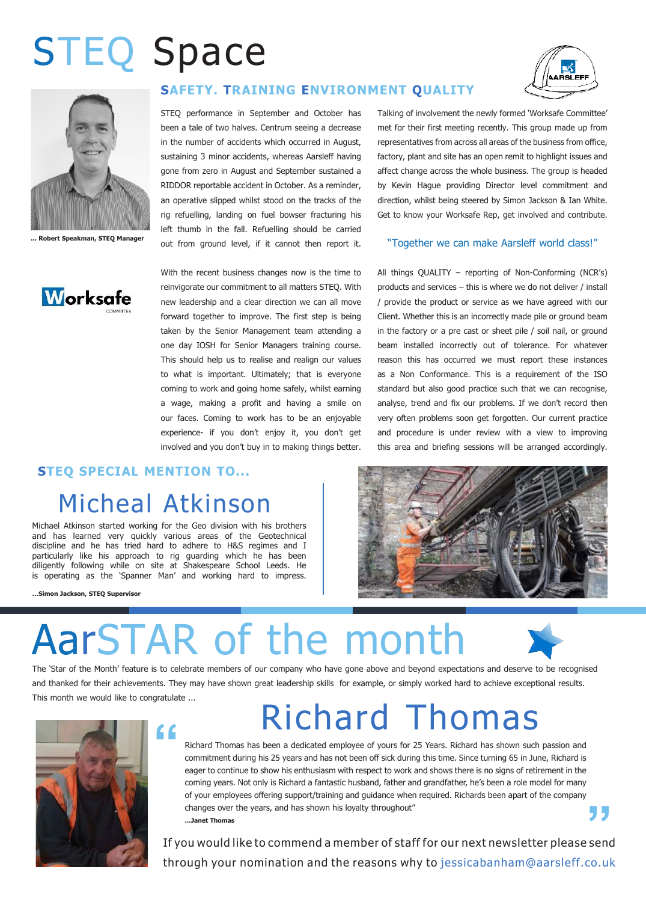## STEQ Space



**... Robert Speakman, STEQ Manager**



#### **SAFETY. TRAINING ENVIRONMENT QUALITY**

STEQ performance in September and October has been a tale of two halves. Centrum seeing a decrease in the number of accidents which occurred in August, sustaining 3 minor accidents, whereas Aarsleff having gone from zero in August and September sustained a RIDDOR reportable accident in October. As a reminder, an operative slipped whilst stood on the tracks of the rig refuelling, landing on fuel bowser fracturing his left thumb in the fall. Refuelling should be carried out from ground level, if it cannot then report it.

With the recent business changes now is the time to reinvigorate our commitment to all matters STEQ. With new leadership and a clear direction we can all move forward together to improve. The first step is being taken by the Senior Management team attending a one day IOSH for Senior Managers training course. This should help us to realise and realign our values to what is important. Ultimately; that is everyone coming to work and going home safely, whilst earning a wage, making a profit and having a smile on our faces. Coming to work has to be an enjoyable experience- if you don't enjoy it, you don't get involved and you don't buy in to making things better.

#### **STEQ SPECIAL MENTION TO...**

### Micheal Atkinson

Michael Atkinson started working for the Geo division with his brothers and has learned very quickly various areas of the Geotechnical discipline and he has tried hard to adhere to H&S regimes and I particularly like his approach to rig guarding which he has been diligently following while on site at Shakespeare School Leeds. He is operating as the 'Spanner Man' and working hard to impress.

**…Simon Jackson, STEQ Supervisor**

# AarSTAR of the month

The 'Star of the Month' feature is to celebrate members of our company who have gone above and beyond expectations and deserve to be recognised and thanked for their achievements. They may have shown great leadership skills for example, or simply worked hard to achieve exceptional results. This month we would like to congratulate ...



### Richard Thomas

Richard Thomas has been a dedicated employee of yours for 25 Years. Richard has shown such passion and commitment during his 25 years and has not been off sick during this time. Since turning 65 in June, Richard is eager to continue to show his enthusiasm with respect to work and shows there is no signs of retirement in the coming years. Not only is Richard a fantastic husband, father and grandfather, he's been a role model for many of your employees offering support/training and guidance when required. Richards been apart of the company changes over the years, and has shown his loyalty throughout" **…Janet Thomas** 

If you would like to commend a member of staff for our next newsletter please send through your nomination and the reasons why to jessicabanham@aarsleff.co.uk



Talking of involvement the newly formed 'Worksafe Committee' met for their first meeting recently. This group made up from representatives from across all areas of the business from office, factory, plant and site has an open remit to highlight issues and affect change across the whole business. The group is headed by Kevin Hague providing Director level commitment and direction, whilst being steered by Simon Jackson & Ian White. Get to know your Worksafe Rep, get involved and contribute.

#### "Together we can make Aarsleff world class!"

All things QUALITY – reporting of Non-Conforming (NCR's) products and services – this is where we do not deliver / install / provide the product or service as we have agreed with our Client. Whether this is an incorrectly made pile or ground beam in the factory or a pre cast or sheet pile / soil nail, or ground beam installed incorrectly out of tolerance. For whatever reason this has occurred we must report these instances as a Non Conformance. This is a requirement of the ISO standard but also good practice such that we can recognise, analyse, trend and fix our problems. If we don't record then very often problems soon get forgotten. Our current practice and procedure is under review with a view to improving this area and briefing sessions will be arranged accordingly.



**"**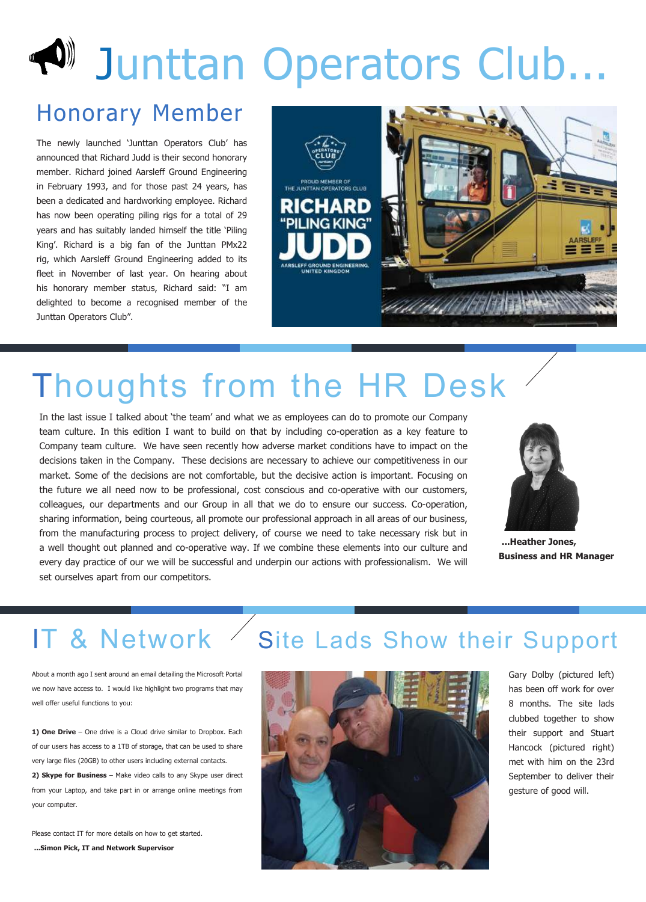# DUID Junttan Operators Club...

### Honorary Member

The newly launched 'Junttan Operators Club' has announced that Richard Judd is their second honorary member. Richard joined Aarsleff Ground Engineering in February 1993, and for those past 24 years, has been a dedicated and hardworking employee. Richard has now been operating piling rigs for a total of 29 years and has suitably landed himself the title 'Piling King'. Richard is a big fan of the Junttan PMx22 rig, which Aarsleff Ground Engineering added to its fleet in November of last year. On hearing about his honorary member status, Richard said: "I am delighted to become a recognised member of the Junttan Operators Club".



### Thoughts from the HR Desk

In the last issue I talked about 'the team' and what we as employees can do to promote our Company team culture. In this edition I want to build on that by including co-operation as a key feature to Company team culture. We have seen recently how adverse market conditions have to impact on the decisions taken in the Company. These decisions are necessary to achieve our competitiveness in our market. Some of the decisions are not comfortable, but the decisive action is important. Focusing on the future we all need now to be professional, cost conscious and co-operative with our customers, colleagues, our departments and our Group in all that we do to ensure our success. Co-operation, sharing information, being courteous, all promote our professional approach in all areas of our business, from the manufacturing process to project delivery, of course we need to take necessary risk but in a well thought out planned and co-operative way. If we combine these elements into our culture and every day practice of our we will be successful and underpin our actions with professionalism. We will set ourselves apart from our competitors.



**...Heather Jones, Business and HR Manager**

#### IT & Network Site Lads Show their Support

About a month ago I sent around an email detailing the Microsoft Portal we now have access to. I would like highlight two programs that may well offer useful functions to you:

**1) One Drive** – One drive is a Cloud drive similar to Dropbox. Each of our users has access to a 1TB of storage, that can be used to share very large files (20GB) to other users including external contacts.

**2) Skype for Business** – Make video calls to any Skype user direct from your Laptop, and take part in or arrange online meetings from your computer.

Please contact IT for more details on how to get started. **...Simon Pick, IT and Network Supervisor**



Gary Dolby (pictured left) has been off work for over 8 months. The site lads clubbed together to show their support and Stuart Hancock (pictured right) met with him on the 23rd September to deliver their gesture of good will.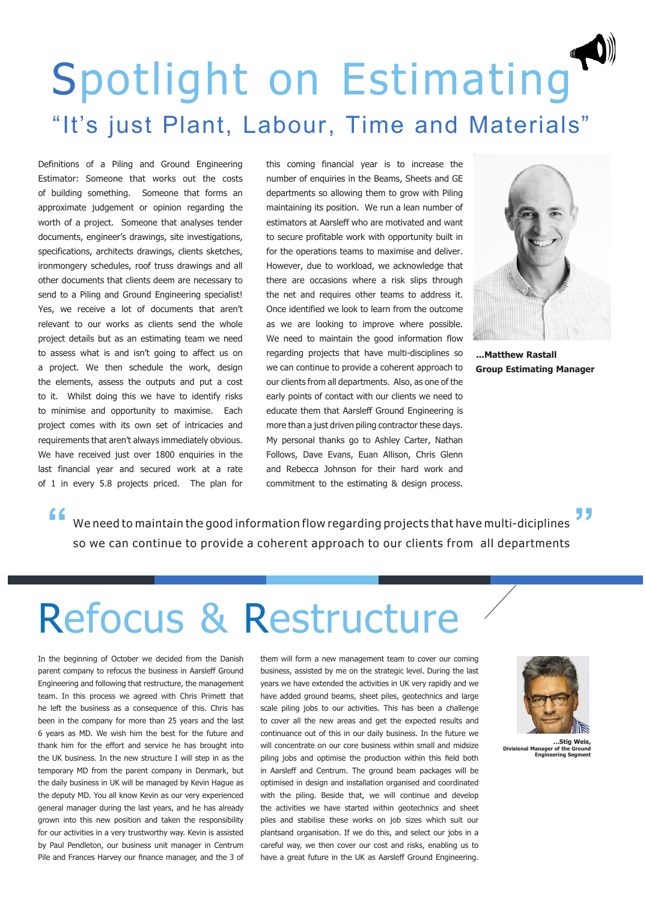### Spotlight on Estimating "It's just Plant, Labour, Time and Materials"

Definitions of a Piling and Ground Engineering Estimator: Someone that works out the costs of building something. Someone that forms an approximate judgement or opinion regarding the worth of a project. Someone that analyses tender documents, engineer's drawings, site investigations, specifications, architects drawings, clients sketches, ironmongery schedules, roof truss drawings and all other documents that clients deem are necessary to send to a Piling and Ground Engineering specialist! Yes, we receive a lot of documents that aren't relevant to our works as clients send the whole project details but as an estimating team we need to assess what is and isn't going to affect us on a project. We then schedule the work, design the elements, assess the outputs and put a cost to it. Whilst doing this we have to identify risks to minimise and opportunity to maximise. Each project comes with its own set of intricacies and requirements that aren't always immediately obvious. We have received just over 1800 enquiries in the last financial year and secured work at a rate of 1 in every 5.8 projects priced. The plan for

this coming financial year is to increase the number of enquiries in the Beams, Sheets and GE departments so allowing them to grow with Piling maintaining its position. We run a lean number of estimators at Aarsleff who are motivated and want to secure profitable work with opportunity built in for the operations teams to maximise and deliver. However, due to workload, we acknowledge that there are occasions where a risk slips through the net and requires other teams to address it. Once identified we look to learn from the outcome as we are looking to improve where possible. We need to maintain the good information flow regarding projects that have multi-disciplines so we can continue to provide a coherent approach to our clients from all departments. Also, as one of the early points of contact with our clients we need to educate them that Aarsleff Ground Engineering is more than a just driven piling contractor these days. My personal thanks go to Ashley Carter, Nathan Follows, Dave Evans, Euan Allison, Chris Glenn and Rebecca Johnson for their hard work and commitment to the estimating & design process.



**...Matthew Rastall Group Estimating Manager**

We need to maintain the good information flow regarding projects that have multi-diciplines **" "** so we can continue to provide a coherent approach to our clients from all departments

### Refocus & Restructure

In the beginning of October we decided from the Danish parent company to refocus the business in Aarsleff Ground Engineering and following that restructure, the management team. In this process we agreed with Chris Primett that he left the business as a consequence of this. Chris has been in the company for more than 25 years and the last 6 years as MD. We wish him the best for the future and thank him for the effort and service he has brought into the UK business. In the new structure I will step in as the temporary MD from the parent company in Denmark, but the daily business in UK will be managed by Kevin Hague as the deputy MD. You all know Kevin as our very experienced general manager during the last years, and he has already grown into this new position and taken the responsibility for our activities in a very trustworthy way. Kevin is assisted by Paul Pendleton, our business unit manager in Centrum Pile and Frances Harvey our finance manager, and the 3 of

them will form a new management team to cover our coming business, assisted by me on the strategic level. During the last years we have extended the activities in UK very rapidly and we have added ground beams, sheet piles, geotechnics and large scale piling jobs to our activities. This has been a challenge to cover all the new areas and get the expected results and continuance out of this in our daily business. In the future we will concentrate on our core business within small and midsize piling jobs and optimise the production within this field both in Aarsleff and Centrum. The ground beam packages will be optimised in design and installation organised and coordinated with the piling. Beside that, we will continue and develop the activities we have started within geotechnics and sheet piles and stabilise these works on job sizes which suit our plantsand organisation. If we do this, and select our jobs in a careful way, we then cover our cost and risks, enabling us to have a great future in the UK as Aarsleff Ground Engineering.



**…Stig Weis, Divisional Manager of the Ground Engineering Segment**